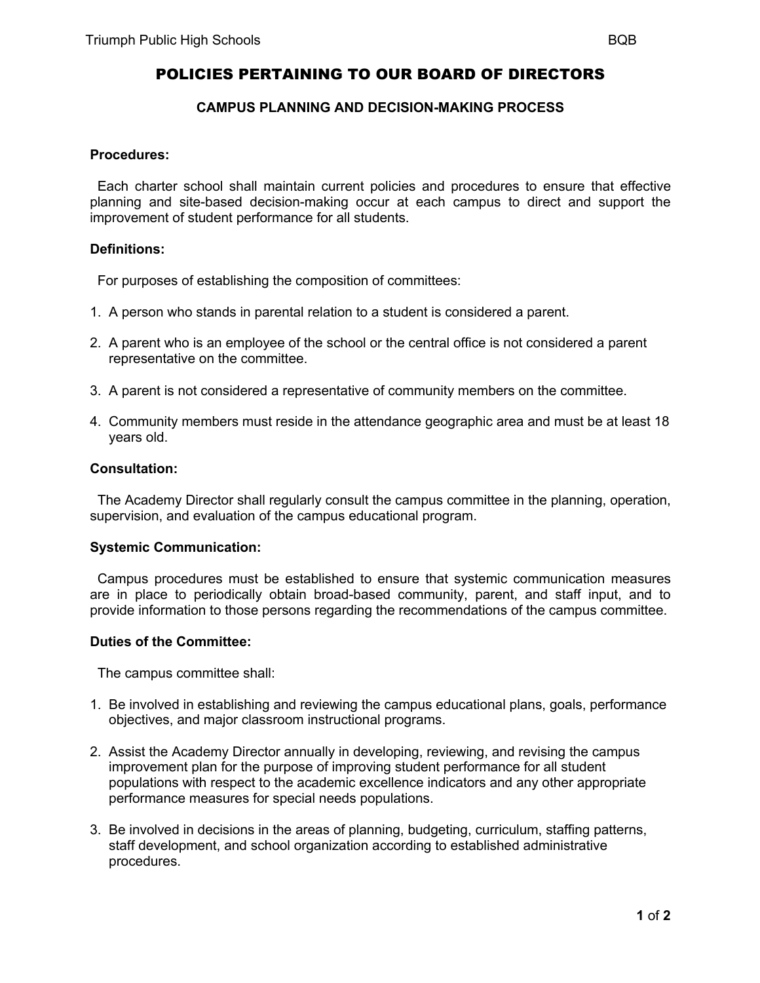# **CAMPUS PLANNING AND DECISION-MAKING PROCESS**

## **Procedures:**

 Each charter school shall maintain current policies and procedures to ensure that effective planning and site-based decision-making occur at each campus to direct and support the improvement of student performance for all students.

## **Definitions:**

For purposes of establishing the composition of committees:

- 1. A person who stands in parental relation to a student is considered a parent.
- 2. A parent who is an employee of the school or the central office is not considered a parent representative on the committee.
- 3. A parent is not considered a representative of community members on the committee.
- 4. Community members must reside in the attendance geographic area and must be at least 18 years old.

#### **Consultation:**

 The Academy Director shall regularly consult the campus committee in the planning, operation, supervision, and evaluation of the campus educational program.

#### **Systemic Communication:**

 Campus procedures must be established to ensure that systemic communication measures are in place to periodically obtain broad-based community, parent, and staff input, and to provide information to those persons regarding the recommendations of the campus committee.

#### **Duties of the Committee:**

The campus committee shall:

- 1. Be involved in establishing and reviewing the campus educational plans, goals, performance objectives, and major classroom instructional programs.
- 2. Assist the Academy Director annually in developing, reviewing, and revising the campus improvement plan for the purpose of improving student performance for all student populations with respect to the academic excellence indicators and any other appropriate performance measures for special needs populations.
- 3. Be involved in decisions in the areas of planning, budgeting, curriculum, staffing patterns, staff development, and school organization according to established administrative procedures.